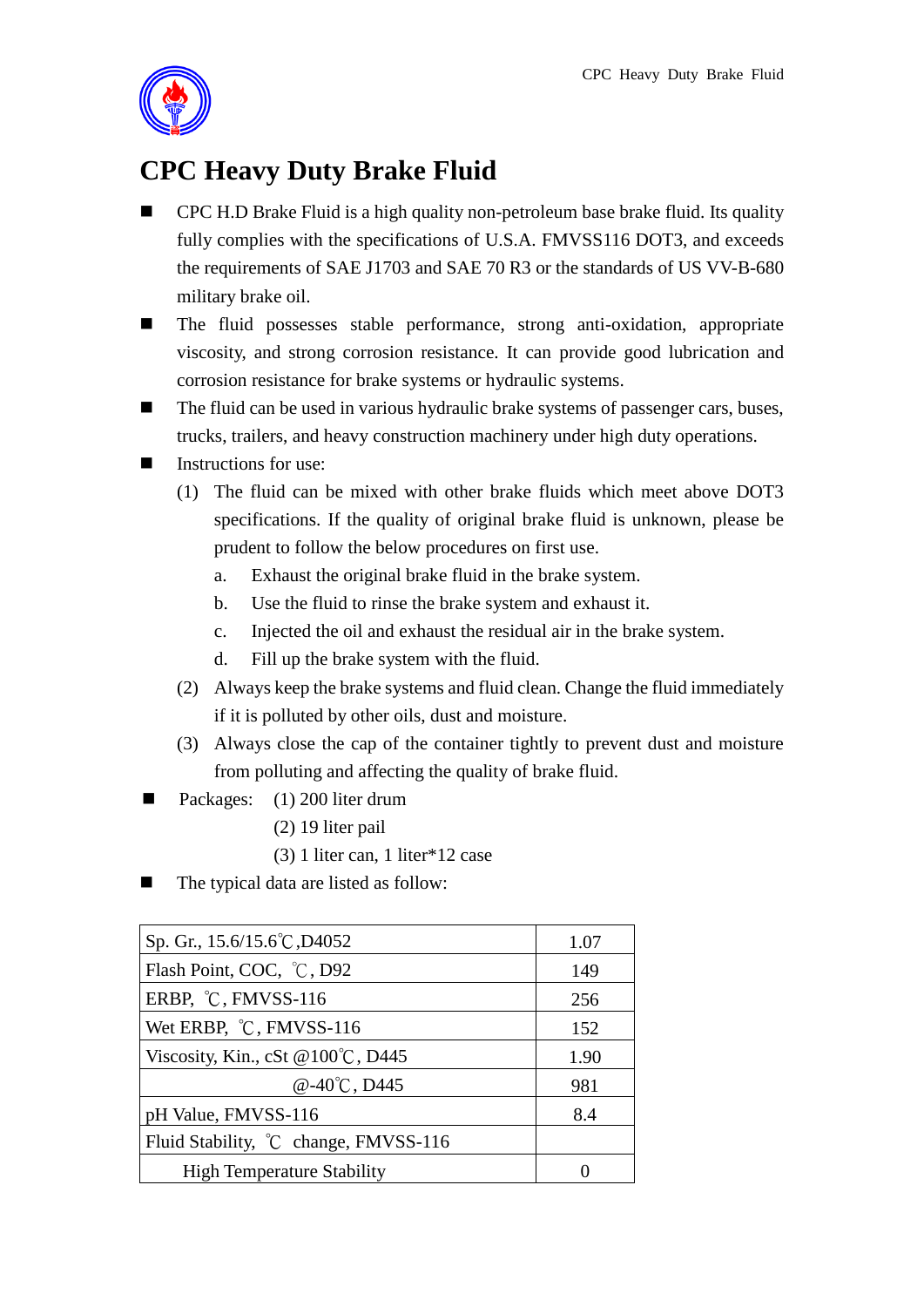

## **CPC Heavy Duty Brake Fluid**

- CPC H.D Brake Fluid is a high quality non-petroleum base brake fluid. Its quality fully complies with the specifications of U.S.A. FMVSS116 DOT3, and exceeds the requirements of SAE J1703 and SAE 70 R3 or the standards of US VV-B-680 military brake oil.
- The fluid possesses stable performance, strong anti-oxidation, appropriate viscosity, and strong corrosion resistance. It can provide good lubrication and corrosion resistance for brake systems or hydraulic systems.
- $\blacksquare$  The fluid can be used in various hydraulic brake systems of passenger cars, buses, trucks, trailers, and heavy construction machinery under high duty operations.
- Instructions for use:
	- (1) The fluid can be mixed with other brake fluids which meet above DOT3 specifications. If the quality of original brake fluid is unknown, please be prudent to follow the below procedures on first use.
		- a. Exhaust the original brake fluid in the brake system.
		- b. Use the fluid to rinse the brake system and exhaust it.
		- c. Injected the oil and exhaust the residual air in the brake system.
		- d. Fill up the brake system with the fluid.
	- (2) Always keep the brake systems and fluid clean. Change the fluid immediately if it is polluted by other oils, dust and moisture.
	- (3) Always close the cap of the container tightly to prevent dust and moisture from polluting and affecting the quality of brake fluid.
- Packages: (1) 200 liter drum
	- (2) 19 liter pail
	- (3) 1 liter can, 1 liter\*12 case
- The typical data are listed as follow:

| Sp. Gr., 15.6/15.6°C, D4052           | 1.07 |
|---------------------------------------|------|
| Flash Point, COC, °C, D92             | 149  |
| ERBP, °C, FMVSS-116                   | 256  |
| Wet ERBP, °C, FMVSS-116               | 152  |
| Viscosity, Kin., cSt @100°C, D445     | 1.90 |
| $@-40^{\circ}$ C, D445                | 981  |
| pH Value, FMVSS-116                   | 8.4  |
| Fluid Stability, °C change, FMVSS-116 |      |
| <b>High Temperature Stability</b>     |      |
|                                       |      |